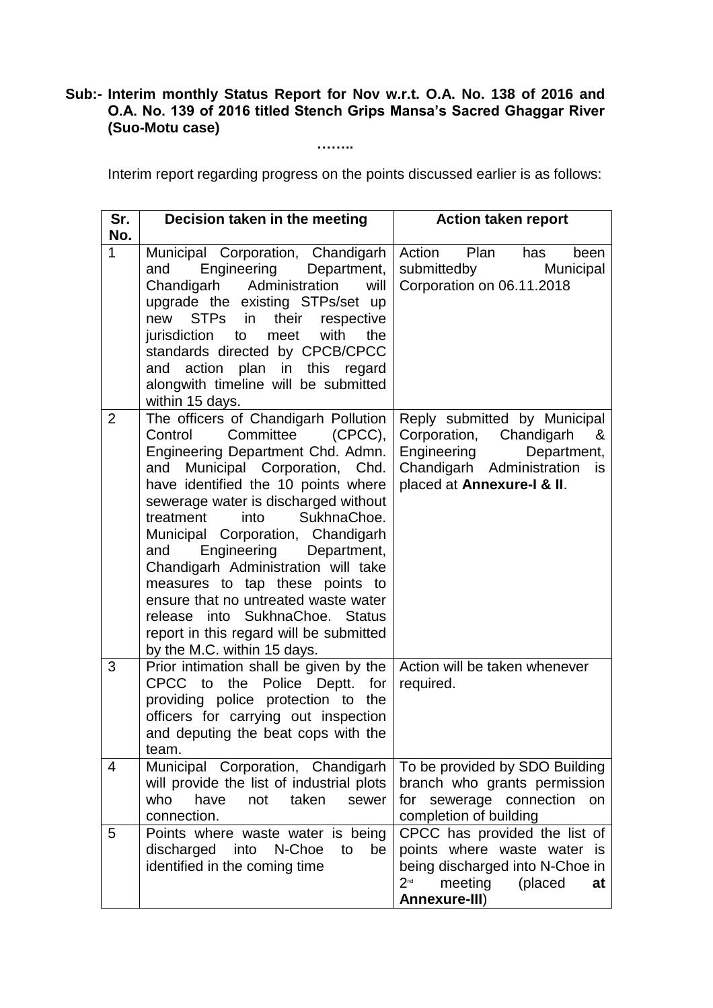## **Sub:- Interim monthly Status Report for Nov w.r.t. O.A. No. 138 of 2016 and O.A. No. 139 of 2016 titled Stench Grips Mansa's Sacred Ghaggar River (Suo-Motu case)**

**……..**

Interim report regarding progress on the points discussed earlier is as follows:

| Sr.            | Decision taken in the meeting                                                                                                                                                                                                                                                                                                                                                                                                                                                                                                                                               | <b>Action taken report</b>                                                                                                                                  |
|----------------|-----------------------------------------------------------------------------------------------------------------------------------------------------------------------------------------------------------------------------------------------------------------------------------------------------------------------------------------------------------------------------------------------------------------------------------------------------------------------------------------------------------------------------------------------------------------------------|-------------------------------------------------------------------------------------------------------------------------------------------------------------|
| No.            |                                                                                                                                                                                                                                                                                                                                                                                                                                                                                                                                                                             |                                                                                                                                                             |
| $\mathbf{1}$   | Municipal Corporation, Chandigarh<br>Engineering Department,<br>and<br>Chandigarh Administration<br>will<br>upgrade the existing STPs/set up<br>new<br><b>STPs</b><br>in<br>their<br>respective<br>with the<br>jurisdiction<br>meet<br>to<br>standards directed by CPCB/CPCC<br>action plan in this<br>regard<br>and<br>alongwith timeline will be submitted<br>within 15 days.                                                                                                                                                                                             | Action<br>Plan<br>has<br>been<br>submittedby<br>Municipal<br>Corporation on 06.11.2018                                                                      |
| $\overline{2}$ | The officers of Chandigarh Pollution<br>Committee<br>(CPCC),<br>Control<br>Engineering Department Chd. Admn.<br>Municipal Corporation, Chd.<br>and<br>have identified the 10 points where<br>sewerage water is discharged without<br>treatment<br>into<br>SukhnaChoe.<br>Municipal Corporation, Chandigarh<br>Engineering Department,<br>and<br>Chandigarh Administration will take<br>measures to tap these points to<br>ensure that no untreated waste water<br>release into SukhnaChoe. Status<br>report in this regard will be submitted<br>by the M.C. within 15 days. | Reply submitted by Municipal<br>Corporation, Chandigarh<br>&<br>Engineering<br>Department,<br>Chandigarh Administration<br>is<br>placed at Annexure-I & II. |
| 3              | Prior intimation shall be given by the<br>CPCC to<br>the<br>Police Deptt.<br>for<br>providing police protection to the<br>officers for carrying out inspection<br>and deputing the beat cops with the<br>team.                                                                                                                                                                                                                                                                                                                                                              | Action will be taken whenever<br>required.                                                                                                                  |
| 4              | Municipal Corporation, Chandigarh<br>will provide the list of industrial plots<br>taken<br>who<br>have<br>not<br>sewer<br>connection.                                                                                                                                                                                                                                                                                                                                                                                                                                       | To be provided by SDO Building<br>branch who grants permission<br>for sewerage connection<br>on<br>completion of building                                   |
| 5              | Points where waste water is being<br>discharged<br>into<br>N-Choe<br>be<br>to<br>identified in the coming time                                                                                                                                                                                                                                                                                                                                                                                                                                                              | CPCC has provided the list of<br>points where waste water is<br>being discharged into N-Choe in<br>meeting<br>$2^{nd}$<br>(placed<br>at<br>Annexure-III)    |